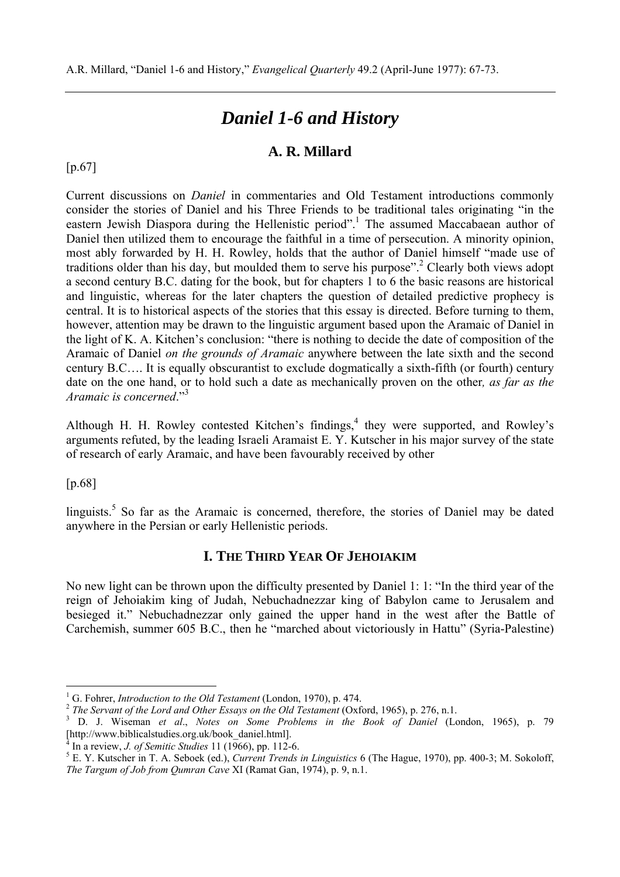# *Daniel 1-6 and History*

# **A. R. Millard**

[p.67]

Current discussions on *Daniel* in commentaries and Old Testament introductions commonly consider the stories of Daniel and his Three Friends to be traditional tales originating "in the eastern Jewish Diaspora during the Hellenistic period".<sup>1</sup> The assumed Maccabaean author of Daniel then utilized them to encourage the faithful in a time of persecution. A minority opinion, most ably forwarded by H. H. Rowley, holds that the author of Daniel himself "made use of traditions older than his day, but moulded them to serve his purpose".<sup>2</sup> Clearly both views adopt a second century B.C. dating for the book, but for chapters 1 to 6 the basic reasons are historical and linguistic, whereas for the later chapters the question of detailed predictive prophecy is central. It is to historical aspects of the stories that this essay is directed. Before turning to them, however, attention may be drawn to the linguistic argument based upon the Aramaic of Daniel in the light of K. A. Kitchen's conclusion: "there is nothing to decide the date of composition of the Aramaic of Daniel *on the grounds of Aramaic* anywhere between the late sixth and the second century B.C…. It is equally obscurantist to exclude dogmatically a sixth-fifth (or fourth) century date on the one hand, or to hold such a date as mechanically proven on the other*, as far as the Aramaic is concerned*."3

Although H. H. Rowley contested Kitchen's findings,<sup>4</sup> they were supported, and Rowley's arguments refuted, by the leading Israeli Aramaist E. Y. Kutscher in his major survey of the state of research of early Aramaic, and have been favourably received by other

#### [p.68]

 $\overline{a}$ 

linguists.<sup>5</sup> So far as the Aramaic is concerned, therefore, the stories of Daniel may be dated anywhere in the Persian or early Hellenistic periods.

# **I. THE THIRD YEAR OF JEHOIAKIM**

No new light can be thrown upon the difficulty presented by Daniel 1: 1: "In the third year of the reign of Jehoiakim king of Judah, Nebuchadnezzar king of Babylon came to Jerusalem and besieged it." Nebuchadnezzar only gained the upper hand in the west after the Battle of Carchemish, summer 605 B.C., then he "marched about victoriously in Hattu" (Syria-Palestine)

<sup>&</sup>lt;sup>1</sup> G. Fohrer, *Introduction to the Old Testament* (London, 1970), p. 474.

<sup>&</sup>lt;sup>2</sup> The Servant of the Lord and Other Essays on the Old Testament (Oxford, 1965), p. 276, n.1.

D. J. Wiseman *et al*., *Notes on Some Problems in the Book of Daniel* (London, 1965), p. 79 [[http://www.biblicalstudies.org.uk/book\\_daniel.htm](http://www.biblicalstudies.org.uk/book_daniel.html)l].

 $^{\overline{4}}$  In a review, *J. of Semitic Studies* 11 (1966), pp. 112-6.

E. Y. Kutscher in T. A. Seboek (ed.), *Current Trends in Linguistics* 6 (The Hague, 1970), pp. 400-3; M. Sokoloff, *The Targum of Job from Qumran Cave* XI (Ramat Gan, 1974), p. 9, n.1.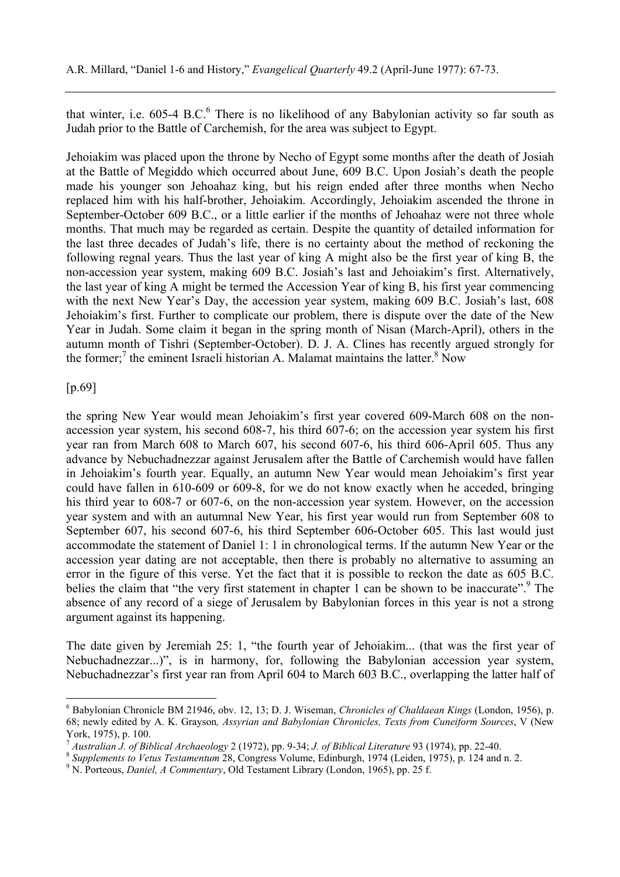that winter, i.e.  $605-4$  B.C. $<sup>6</sup>$  There is no likelihood of any Babylonian activity so far south as</sup> Judah prior to the Battle of Carchemish, for the area was subject to Egypt.

Jehoiakim was placed upon the throne by Necho of Egypt some months after the death of Josiah at the Battle of Megiddo which occurred about June, 609 B.C. Upon Josiah's death the people made his younger son Jehoahaz king, but his reign ended after three months when Necho replaced him with his half-brother, Jehoiakim. Accordingly, Jehoiakim ascended the throne in September-October 609 B.C., or a little earlier if the months of Jehoahaz were not three whole months. That much may be regarded as certain. Despite the quantity of detailed information for the last three decades of Judah's life, there is no certainty about the method of reckoning the following regnal years. Thus the last year of king A might also be the first year of king B, the non-accession year system, making 609 B.C. Josiah's last and Jehoiakim's first. Alternatively, the last year of king A might be termed the Accession Year of king B, his first year commencing with the next New Year's Day, the accession year system, making 609 B.C. Josiah's last, 608 Jehoiakim's first. Further to complicate our problem, there is dispute over the date of the New Year in Judah. Some claim it began in the spring month of Nisan (March-April), others in the autumn month of Tishri (September-October). D. J. A. Clines has recently argued strongly for the former;<sup>7</sup> the eminent Israeli historian A. Malamat maintains the latter.<sup>8</sup> Now

#### [p.69]

 $\overline{a}$ 

the spring New Year would mean Jehoiakim's first year covered 609-March 608 on the nonaccession year system, his second 608-7, his third 607-6; on the accession year system his first year ran from March 608 to March 607, his second 607-6, his third 606-April 605. Thus any advance by Nebuchadnezzar against Jerusalem after the Battle of Carchemish would have fallen in Jehoiakim's fourth year. Equally, an autumn New Year would mean Jehoiakim's first year could have fallen in 610-609 or 609-8, for we do not know exactly when he acceded, bringing his third year to 608-7 or 607-6, on the non-accession year system. However, on the accession year system and with an autumnal New Year, his first year would run from September 608 to September 607, his second 607-6, his third September 606-October 605. This last would just accommodate the statement of Daniel 1: 1 in chronological terms. If the autumn New Year or the accession year dating are not acceptable, then there is probably no alternative to assuming an error in the figure of this verse. Yet the fact that it is possible to reckon the date as 605 B.C. belies the claim that "the very first statement in chapter 1 can be shown to be inaccurate".<sup>9</sup> The absence of any record of a siege of Jerusalem by Babylonian forces in this year is not a strong argument against its happening.

The date given by Jeremiah 25: 1, "the fourth year of Jehoiakim... (that was the first year of Nebuchadnezzar...)", is in harmony, for, following the Babylonian accession year system, Nebuchadnezzar's first year ran from April 604 to March 603 B.C., overlapping the latter half of

<sup>6</sup> Babylonian Chronicle BM 21946, obv. 12, 13; D. J. Wiseman, *Chronicles of Chaldaean Kings* (London, 1956), p. 68; newly edited by A. K. Grayson*, Assyrian and Babylonian Chronicles, Texts from Cuneiform Sources*, V (New York, 1975), p. 100.<br><sup>7</sup> Australian J. of Biblical Archaeology 2 (1972), pp. 9-34; J. of Biblical Literature 93 (1974), pp. 22-40.

<sup>&</sup>lt;sup>8</sup> Supplements to Vetus Testamentum 28, Congress Volume, Edinburgh, 1974 (Leiden, 1975), p. 124 and n. 2.

<sup>&</sup>lt;sup>9</sup> N. Porteous, *Daniel, A Commentary*, Old Testament Library (London, 1965), pp. 25 f.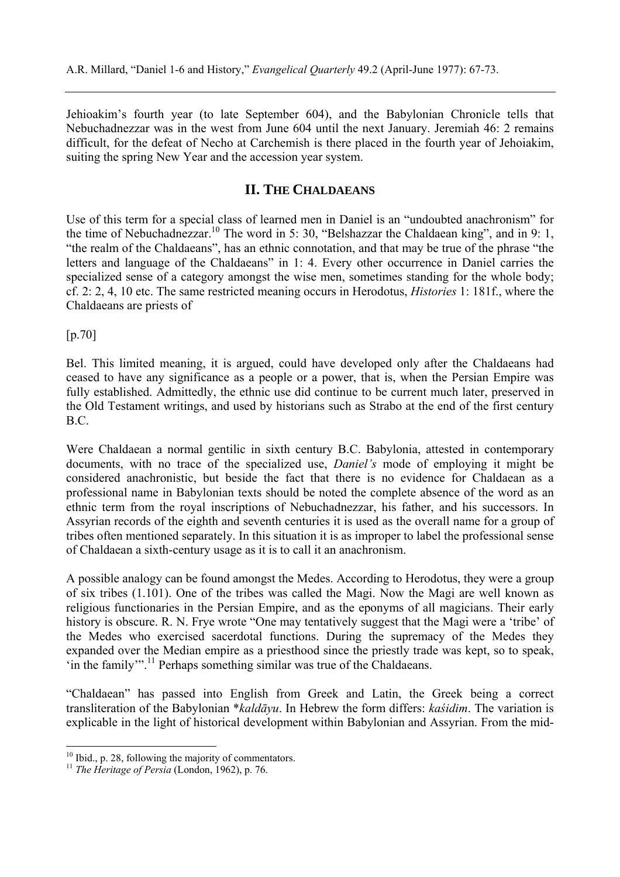Jehioakim's fourth year (to late September 604), and the Babylonian Chronicle tells that Nebuchadnezzar was in the west from June 604 until the next January. Jeremiah 46: 2 remains difficult, for the defeat of Necho at Carchemish is there placed in the fourth year of Jehoiakim, suiting the spring New Year and the accession year system.

# **II. THE CHALDAEANS**

Use of this term for a special class of learned men in Daniel is an "undoubted anachronism" for the time of Nebuchadnezzar.<sup>10</sup> The word in 5: 30, "Belshazzar the Chaldaean king", and in 9: 1, "the realm of the Chaldaeans", has an ethnic connotation, and that may be true of the phrase "the letters and language of the Chaldaeans" in 1: 4. Every other occurrence in Daniel carries the specialized sense of a category amongst the wise men, sometimes standing for the whole body; cf. 2: 2, 4, 10 etc. The same restricted meaning occurs in Herodotus, *Histories* 1: 181f., where the Chaldaeans are priests of

[p.70]

 $\overline{a}$ 

Bel. This limited meaning, it is argued, could have developed only after the Chaldaeans had ceased to have any significance as a people or a power, that is, when the Persian Empire was fully established. Admittedly, the ethnic use did continue to be current much later, preserved in the Old Testament writings, and used by historians such as Strabo at the end of the first century B.C.

Were Chaldaean a normal gentilic in sixth century B.C. Babylonia, attested in contemporary documents, with no trace of the specialized use, *Daniel's* mode of employing it might be considered anachronistic, but beside the fact that there is no evidence for Chaldaean as a professional name in Babylonian texts should be noted the complete absence of the word as an ethnic term from the royal inscriptions of Nebuchadnezzar, his father, and his successors. In Assyrian records of the eighth and seventh centuries it is used as the overall name for a group of tribes often mentioned separately. In this situation it is as improper to label the professional sense of Chaldaean a sixth-century usage as it is to call it an anachronism.

A possible analogy can be found amongst the Medes. According to Herodotus, they were a group of six tribes (1.101). One of the tribes was called the Magi. Now the Magi are well known as religious functionaries in the Persian Empire, and as the eponyms of all magicians. Their early history is obscure. R. N. Frye wrote "One may tentatively suggest that the Magi were a 'tribe' of the Medes who exercised sacerdotal functions. During the supremacy of the Medes they expanded over the Median empire as a priesthood since the priestly trade was kept, so to speak, 'in the family'".11 Perhaps something similar was true of the Chaldaeans.

"Chaldaean" has passed into English from Greek and Latin, the Greek being a correct transliteration of the Babylonian \**kaldāyu*. In Hebrew the form differs: *kaśidim*. The variation is explicable in the light of historical development within Babylonian and Assyrian. From the mid-

 $10$  Ibid., p. 28, following the majority of commentators.

<sup>11</sup> *The Heritage of Persia* (London, 1962), p. 76.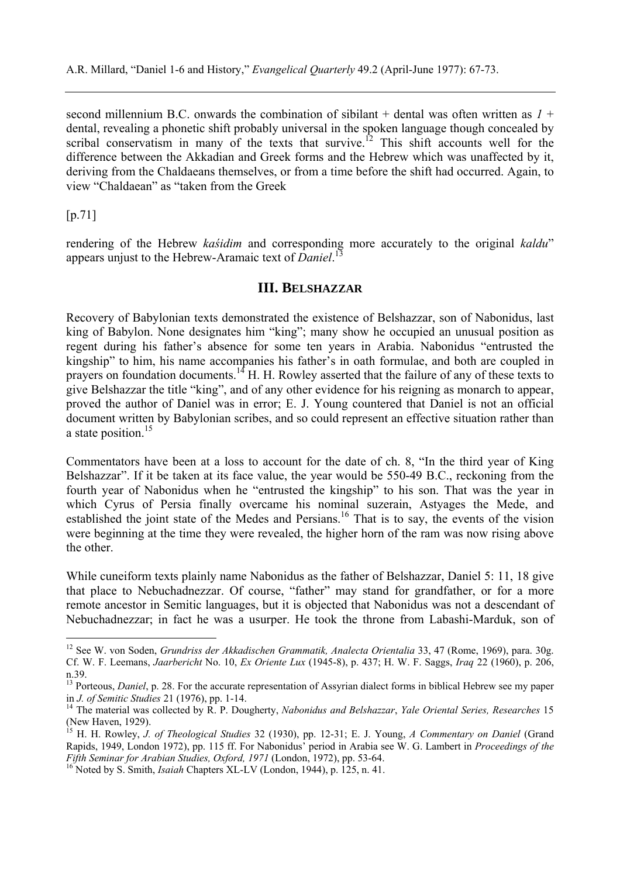second millennium B.C. onwards the combination of sibilant  $+$  dental was often written as  $1 +$ dental, revealing a phonetic shift probably universal in the spoken language though concealed by scribal conservatism in many of the texts that survive.<sup>12</sup> This shift accounts well for the difference between the Akkadian and Greek forms and the Hebrew which was unaffected by it, deriving from the Chaldaeans themselves, or from a time before the shift had occurred. Again, to view "Chaldaean" as "taken from the Greek

[p.71]

 $\overline{a}$ 

rendering of the Hebrew *kaśidim* and corresponding more accurately to the original *kaldu*" appears unjust to the Hebrew-Aramaic text of *Daniel*. 13

# **III. BELSHAZZAR**

Recovery of Babylonian texts demonstrated the existence of Belshazzar, son of Nabonidus, last king of Babylon. None designates him "king"; many show he occupied an unusual position as regent during his father's absence for some ten years in Arabia. Nabonidus "entrusted the kingship" to him, his name accompanies his father's in oath formulae, and both are coupled in prayers on foundation documents.<sup>14</sup> H. H. Rowley asserted that the failure of any of these texts to give Belshazzar the title "king", and of any other evidence for his reigning as monarch to appear, proved the author of Daniel was in error; E. J. Young countered that Daniel is not an official document written by Babylonian scribes, and so could represent an effective situation rather than a state position.<sup>15</sup>

Commentators have been at a loss to account for the date of ch. 8, "In the third year of King Belshazzar". If it be taken at its face value, the year would be 550-49 B.C., reckoning from the fourth year of Nabonidus when he "entrusted the kingship" to his son. That was the year in which Cyrus of Persia finally overcame his nominal suzerain, Astyages the Mede, and established the joint state of the Medes and Persians.<sup>16</sup> That is to say, the events of the vision were beginning at the time they were revealed, the higher horn of the ram was now rising above the other.

While cuneiform texts plainly name Nabonidus as the father of Belshazzar, Daniel 5: 11, 18 give that place to Nebuchadnezzar. Of course, "father" may stand for grandfather, or for a more remote ancestor in Semitic languages, but it is objected that Nabonidus was not a descendant of Nebuchadnezzar; in fact he was a usurper. He took the throne from Labashi-Marduk, son of

<sup>&</sup>lt;sup>12</sup> See W. von Soden, *Grundriss der Akkadischen Grammatik, Analecta Orientalia* 33, 47 (Rome, 1969), para. 30g. Cf. W. F. Leemans, *Jaarbericht* No. 10, *Ex Oriente Lux* (1945-8), p. 437; H. W. F. Saggs, *Iraq* 22 (1960), p. 206, n.39.

<sup>&</sup>lt;sup>13</sup> Porteous, *Daniel*, p. 28. For the accurate representation of Assyrian dialect forms in biblical Hebrew see my paper in *J. of Semitic Studies* 21 (1976), pp. 1-14.<br><sup>14</sup> The material was collected by R. P. Dougherty, *Nabonidus and Belshazzar*, *Yale Oriental Series, Researches* 15

<sup>(</sup>New Haven, 1929).

<sup>15</sup> H. H. Rowley, *J. of Theological Studies* 32 (1930), pp. 12-31; E. J. Young, *A Commentary on Daniel* (Grand Rapids, 1949, London 1972), pp. 115 ff. For Nabonidus' period in Arabia see W. G. Lambert in *Proceedings of the*

<sup>&</sup>lt;sup>16</sup> Noted by S. Smith, *Isaiah* Chapters XL-LV (London, 1944), p. 125, n. 41.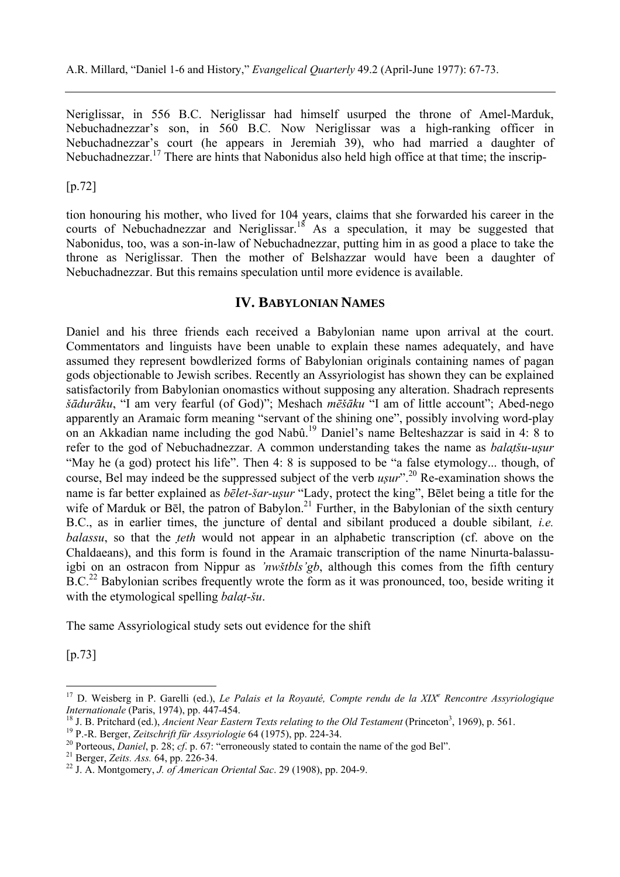Neriglissar, in 556 B.C. Neriglissar had himself usurped the throne of Amel-Marduk, Nebuchadnezzar's son, in 560 B.C. Now Neriglissar was a high-ranking officer in Nebuchadnezzar's court (he appears in Jeremiah 39), who had married a daughter of Nebuchadnezzar.<sup>17</sup> There are hints that Nabonidus also held high office at that time; the inscrip-

[p.72]

tion honouring his mother, who lived for 104 years, claims that she forwarded his career in the courts of Nebuchadnezzar and Neriglissar.<sup>18</sup> As a speculation, it may be suggested that Nabonidus, too, was a son-in-law of Nebuchadnezzar, putting him in as good a place to take the throne as Neriglissar. Then the mother of Belshazzar would have been a daughter of Nebuchadnezzar. But this remains speculation until more evidence is available.

# **IV. BABYLONIAN NAMES**

Daniel and his three friends each received a Babylonian name upon arrival at the court. Commentators and linguists have been unable to explain these names adequately, and have assumed they represent bowdlerized forms of Babylonian originals containing names of pagan gods objectionable to Jewish scribes. Recently an Assyriologist has shown they can be explained satisfactorily from Babylonian onomastics without supposing any alteration. Shadrach represents *šādurāku*, "I am very fearful (of God)"; Meshach *mēšāku* "I am of little account"; Abed-nego apparently an Aramaic form meaning "servant of the shining one", possibly involving word-play on an Akkadian name including the god Nabû.19 Daniel's name Belteshazzar is said in 4: 8 to refer to the god of Nebuchadnezzar. A common understanding takes the name as *balatšu-usur* "May he (a god) protect his life". Then 4: 8 is supposed to be "a false etymology... though, of course, Bel may indeed be the suppressed subject of the verb *usur*".<sup>20</sup> Re-examination shows the name is far better explained as *bēlet-šar-usur* "Lady, protect the king", Bēlet being a title for the wife of Marduk or Bēl, the patron of Babylon.<sup>21</sup> Further, in the Babylonian of the sixth century B.C., as in earlier times, the juncture of dental and sibilant produced a double sibilant*, i.e. balassu*, so that the *teth* would not appear in an alphabetic transcription (cf. above on the Chaldaeans), and this form is found in the Aramaic transcription of the name Ninurta-balassuigbi on an ostracon from Nippur as *'nwštbls'gb*, although this comes from the fifth century  $B.C.<sup>22</sup>$  Babylonian scribes frequently wrote the form as it was pronounced, too, beside writing it with the etymological spelling *balat-šu*.

The same Assyriological study sets out evidence for the shift

[p.73]

 $\overline{a}$ 

<sup>&</sup>lt;sup>17</sup> D. Weisberg in P. Garelli (ed.), *Le Palais et la Royauté, Compte rendu de la XIX<sup>e</sup> Rencontre Assyriologique Internationale* (Paris, 1974), pp. 447-454.<br><sup>18</sup> J. B. Pritchard (ed.), *Ancient Near Eastern Texts relating to the Old Testament* (Princeton<sup>3</sup>, 1969), p. 561.<br><sup>19</sup> P.-R. Berger, *Zeitschrift für Assyriologie* 64 (1975),

<sup>&</sup>lt;sup>20</sup> Porteous, *Daniel*, p. 28; *cf.* p. 67: "erroneously stated to contain the name of the god Bel".<br><sup>21</sup> Berger, *Zeits. Ass.* 64, pp. 226-34.<br><sup>22</sup> J. A. Montgomery, *J. of American Oriental Sac.* 29 (1908), pp. 204-9.